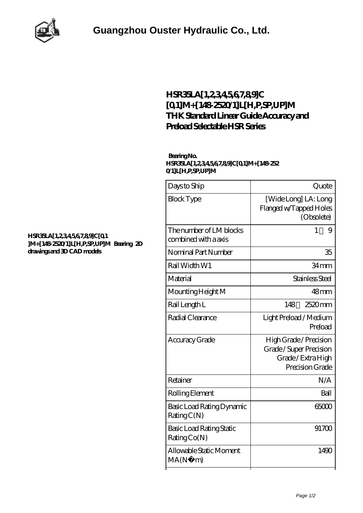

## **[HSR35LA\[1,2,3,4,5,6,7,8,9\]C](https://m.whispersofcountry.com/thk-linear-motion/hsr35la-1-2-3-4-5-6-7-8-9-c-0-1-m-148-2520-1-l-h-p-sp-up-m.html) [\[0,1\]M+\[148-2520/1\]L\[H,P,SP,UP\]M](https://m.whispersofcountry.com/thk-linear-motion/hsr35la-1-2-3-4-5-6-7-8-9-c-0-1-m-148-2520-1-l-h-p-sp-up-m.html) [THK Standard Linear Guide Accuracy and](https://m.whispersofcountry.com/thk-linear-motion/hsr35la-1-2-3-4-5-6-7-8-9-c-0-1-m-148-2520-1-l-h-p-sp-up-m.html) [Preload Selectable HSR Series](https://m.whispersofcountry.com/thk-linear-motion/hsr35la-1-2-3-4-5-6-7-8-9-c-0-1-m-148-2520-1-l-h-p-sp-up-m.html)**

## **Bearing No. HSR35LA[1,2,3,4,5,6,7,8,9]C[0,1]M+[148-252 0/1]L[H,P,SP,UP]M**

| Days to Ship                                    | Quote                                                                                  |
|-------------------------------------------------|----------------------------------------------------------------------------------------|
| <b>Block Type</b>                               | [Wide Long] LA: Long<br>Flanged w/Tapped Holes<br>(Obsolete)                           |
| The number of LM blocks<br>combined with a axis | 1<br>9                                                                                 |
| Nominal Part Number                             | 35                                                                                     |
| Rail Width W1                                   | 34 <sub>mm</sub>                                                                       |
| Material                                        | Stainless Steel                                                                        |
| Mounting Height M                               | 48 <sub>mm</sub>                                                                       |
| Rail Length L                                   | 148<br>2520mm                                                                          |
| Radial Clearance                                | Light Preload / Medium<br>Preload                                                      |
| Accuracy Grade                                  | High Grade / Precision<br>Grade/Super Precision<br>Grade/Extra High<br>Precision Grade |
| Retainer                                        | N/A                                                                                    |
| Rolling Element                                 | Ball                                                                                   |
| Basic Load Rating Dynamic<br>RatingC(N)         | 65000                                                                                  |
| Basic Load Rating Static<br>RatingCo(N)         | 91700                                                                                  |
| Allowable Static Moment<br>MA(N)<br>m)          | 1490                                                                                   |
|                                                 |                                                                                        |

## **[HSR35LA\[1,2,3,4,5,6,7,8,9\]C\[0,1](https://m.whispersofcountry.com/pic-713642.html) [\]M+\[148-2520/1\]L\[H,P,SP,UP\]M Bearing 2D](https://m.whispersofcountry.com/pic-713642.html) [drawings and 3D CAD models](https://m.whispersofcountry.com/pic-713642.html)**